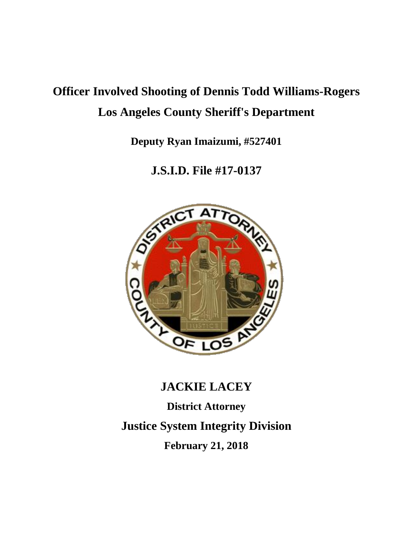# **Officer Involved Shooting of Dennis Todd Williams-Rogers Los Angeles County Sheriff's Department**

**Deputy Ryan Imaizumi, #527401**

**J.S.I.D. File #17-0137**



## **JACKIE LACEY District Attorney**

### **Justice System Integrity Division**

**February 21, 2018**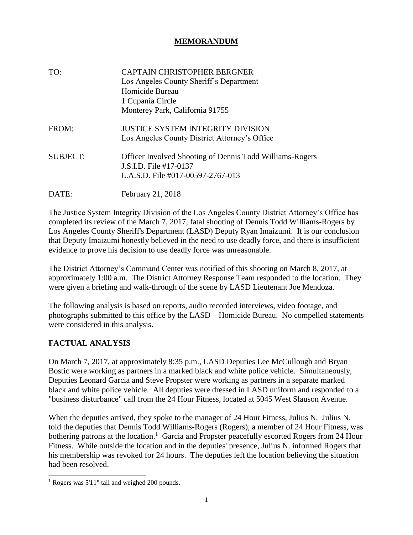#### **MEMORANDUM**

| TO:             | <b>CAPTAIN CHRISTOPHER BERGNER</b><br>Los Angeles County Sheriff's Department<br>Homicide Bureau<br>1 Cupania Circle<br>Monterey Park, California 91755 |
|-----------------|---------------------------------------------------------------------------------------------------------------------------------------------------------|
| FROM:           | JUSTICE SYSTEM INTEGRITY DIVISION<br>Los Angeles County District Attorney's Office                                                                      |
| <b>SUBJECT:</b> | Officer Involved Shooting of Dennis Todd Williams-Rogers<br>J.S.I.D. File #17-0137<br>L.A.S.D. File #017-00597-2767-013                                 |
| DATE:           | February 21, 2018                                                                                                                                       |

The Justice System Integrity Division of the Los Angeles County District Attorney's Office has completed its review of the March 7, 2017, fatal shooting of Dennis Todd Williams-Rogers by Los Angeles County Sheriff's Department (LASD) Deputy Ryan Imaizumi. It is our conclusion that Deputy Imaizumi honestly believed in the need to use deadly force, and there is insufficient evidence to prove his decision to use deadly force was unreasonable.

The District Attorney's Command Center was notified of this shooting on March 8, 2017, at approximately 1:00 a.m. The District Attorney Response Team responded to the location. They were given a briefing and walk-through of the scene by LASD Lieutenant Joe Mendoza.

The following analysis is based on reports, audio recorded interviews, video footage, and photographs submitted to this office by the LASD – Homicide Bureau. No compelled statements were considered in this analysis.

#### **FACTUAL ANALYSIS**

l

On March 7, 2017, at approximately 8:35 p.m., LASD Deputies Lee McCullough and Bryan Bostic were working as partners in a marked black and white police vehicle. Simultaneously, Deputies Leonard Garcia and Steve Propster were working as partners in a separate marked black and white police vehicle. All deputies were dressed in LASD uniform and responded to a "business disturbance" call from the 24 Hour Fitness, located at 5045 West Slauson Avenue.

When the deputies arrived, they spoke to the manager of 24 Hour Fitness, Julius N. Julius N. told the deputies that Dennis Todd Williams-Rogers (Rogers), a member of 24 Hour Fitness, was bothering patrons at the location.<sup>1</sup> Garcia and Propster peacefully escorted Rogers from 24 Hour Fitness. While outside the location and in the deputies' presence, Julius N. informed Rogers that his membership was revoked for 24 hours. The deputies left the location believing the situation had been resolved.

<sup>1</sup> Rogers was 5'11" tall and weighed 200 pounds.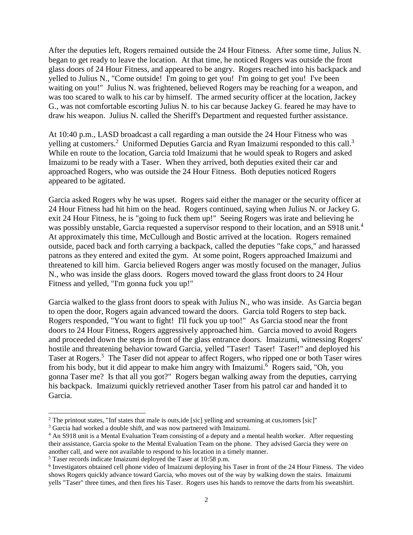After the deputies left, Rogers remained outside the 24 Hour Fitness. After some time, Julius N. began to get ready to leave the location. At that time, he noticed Rogers was outside the front glass doors of 24 Hour Fitness, and appeared to be angry. Rogers reached into his backpack and yelled to Julius N., "Come outside! I'm going to get you! I'm going to get you! I've been waiting on you!" Julius N. was frightened, believed Rogers may be reaching for a weapon, and was too scared to walk to his car by himself. The armed security officer at the location, Jackey G., was not comfortable escorting Julius N. to his car because Jackey G. feared he may have to draw his weapon. Julius N. called the Sheriff's Department and requested further assistance.

At 10:40 p.m., LASD broadcast a call regarding a man outside the 24 Hour Fitness who was yelling at customers.<sup>2</sup> Uniformed Deputies Garcia and Ryan Imaizumi responded to this call.<sup>3</sup> While en route to the location, Garcia told Imaizumi that he would speak to Rogers and asked Imaizumi to be ready with a Taser. When they arrived, both deputies exited their car and approached Rogers, who was outside the 24 Hour Fitness. Both deputies noticed Rogers appeared to be agitated.

Garcia asked Rogers why he was upset. Rogers said either the manager or the security officer at 24 Hour Fitness had hit him on the head. Rogers continued, saying when Julius N. or Jackey G. exit 24 Hour Fitness, he is "going to fuck them up!" Seeing Rogers was irate and believing he was possibly unstable, Garcia requested a supervisor respond to their location, and an S918 unit.<sup>4</sup> At approximately this time, McCullough and Bostic arrived at the location. Rogers remained outside, paced back and forth carrying a backpack, called the deputies "fake cops," and harassed patrons as they entered and exited the gym. At some point, Rogers approached Imaizumi and threatened to kill him. Garcia believed Rogers anger was mostly focused on the manager, Julius N., who was inside the glass doors. Rogers moved toward the glass front doors to 24 Hour Fitness and yelled, "I'm gonna fuck you up!"

Garcia walked to the glass front doors to speak with Julius N., who was inside. As Garcia began to open the door, Rogers again advanced toward the doors. Garcia told Rogers to step back. Rogers responded, "You want to fight! I'll fuck you up too!" As Garcia stood near the front doors to 24 Hour Fitness, Rogers aggressively approached him. Garcia moved to avoid Rogers and proceeded down the steps in front of the glass entrance doors. Imaizumi, witnessing Rogers' hostile and threatening behavior toward Garcia, yelled "Taser! Taser! Taser!" and deployed his Taser at Rogers.<sup>5</sup> The Taser did not appear to affect Rogers, who ripped one or both Taser wires from his body, but it did appear to make him angry with Imaizumi.<sup>6</sup> Rogers said, "Oh, you gonna Taser me? Is that all you got?" Rogers began walking away from the deputies, carrying his backpack. Imaizumi quickly retrieved another Taser from his patrol car and handed it to Garcia.

l

<sup>&</sup>lt;sup>2</sup> The printout states, "Inf states that male is outs,ide [sic] yelling and screaming at cus,tomers [sic]"

<sup>&</sup>lt;sup>3</sup> Garcia had worked a double shift, and was now partnered with Imaizumi.

<sup>4</sup> An S918 unit is a Mental Evaluation Team consisting of a deputy and a mental health worker. After requesting their assistance, Garcia spoke to the Mental Evaluation Team on the phone. They advised Garcia they were on another call, and were not available to respond to his location in a timely manner.

<sup>5</sup> Taser records indicate Imaizumi deployed the Taser at 10:58 p.m.

<sup>6</sup> Investigators obtained cell phone video of Imaizumi deploying his Taser in front of the 24 Hour Fitness. The video shows Rogers quickly advance toward Garcia, who moves out of the way by walking down the stairs. Imaizumi yells "Taser" three times, and then fires his Taser. Rogers uses his hands to remove the darts from his sweatshirt.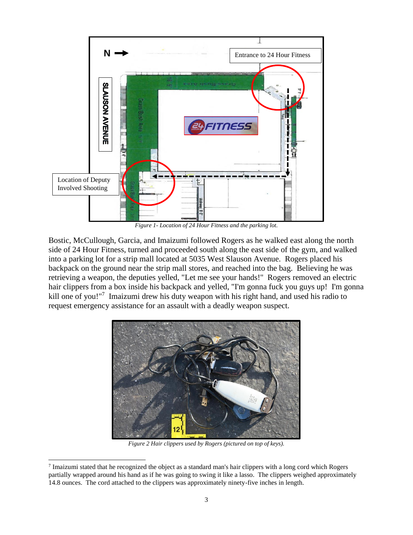

*Figure 1- Location of 24 Hour Fitness and the parking lot.*

Bostic, McCullough, Garcia, and Imaizumi followed Rogers as he walked east along the north side of 24 Hour Fitness, turned and proceeded south along the east side of the gym, and walked into a parking lot for a strip mall located at 5035 West Slauson Avenue. Rogers placed his backpack on the ground near the strip mall stores, and reached into the bag. Believing he was retrieving a weapon, the deputies yelled, "Let me see your hands!" Rogers removed an electric hair clippers from a box inside his backpack and yelled, "I'm gonna fuck you guys up! I'm gonna kill one of you!"<sup>7</sup> Imaizumi drew his duty weapon with his right hand, and used his radio to request emergency assistance for an assault with a deadly weapon suspect.



*Figure 2 Hair clippers used by Rogers (pictured on top of keys).*

l

<sup>&</sup>lt;sup>7</sup> Imaizumi stated that he recognized the object as a standard man's hair clippers with a long cord which Rogers partially wrapped around his hand as if he was going to swing it like a lasso. The clippers weighed approximately 14.8 ounces. The cord attached to the clippers was approximately ninety-five inches in length.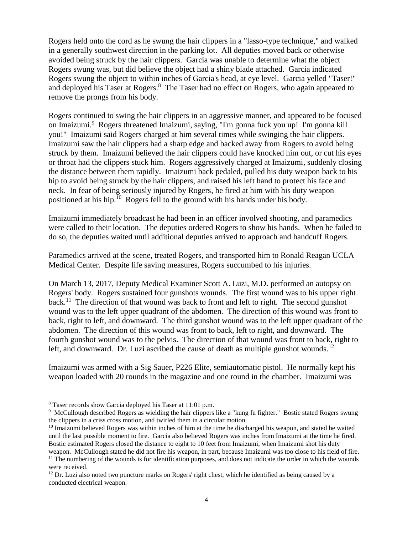Rogers held onto the cord as he swung the hair clippers in a "lasso-type technique," and walked in a generally southwest direction in the parking lot. All deputies moved back or otherwise avoided being struck by the hair clippers. Garcia was unable to determine what the object Rogers swung was, but did believe the object had a shiny blade attached. Garcia indicated Rogers swung the object to within inches of Garcia's head, at eye level. Garcia yelled "Taser!" and deployed his Taser at Rogers.<sup>8</sup> The Taser had no effect on Rogers, who again appeared to remove the prongs from his body.

Rogers continued to swing the hair clippers in an aggressive manner, and appeared to be focused on Imaizumi. 9 Rogers threatened Imaizumi, saying, "I'm gonna fuck you up! I'm gonna kill you!" Imaizumi said Rogers charged at him several times while swinging the hair clippers. Imaizumi saw the hair clippers had a sharp edge and backed away from Rogers to avoid being struck by them. Imaizumi believed the hair clippers could have knocked him out, or cut his eyes or throat had the clippers stuck him. Rogers aggressively charged at Imaizumi, suddenly closing the distance between them rapidly. Imaizumi back pedaled, pulled his duty weapon back to his hip to avoid being struck by the hair clippers, and raised his left hand to protect his face and neck. In fear of being seriously injured by Rogers, he fired at him with his duty weapon positioned at his hip.<sup>10</sup> Rogers fell to the ground with his hands under his body.

Imaizumi immediately broadcast he had been in an officer involved shooting, and paramedics were called to their location. The deputies ordered Rogers to show his hands. When he failed to do so, the deputies waited until additional deputies arrived to approach and handcuff Rogers.

Paramedics arrived at the scene, treated Rogers, and transported him to Ronald Reagan UCLA Medical Center. Despite life saving measures, Rogers succumbed to his injuries.

On March 13, 2017, Deputy Medical Examiner Scott A. Luzi, M.D. performed an autopsy on Rogers' body. Rogers sustained four gunshots wounds. The first wound was to his upper right back.<sup>11</sup> The direction of that wound was back to front and left to right. The second gunshot wound was to the left upper quadrant of the abdomen. The direction of this wound was front to back, right to left, and downward. The third gunshot wound was to the left upper quadrant of the abdomen. The direction of this wound was front to back, left to right, and downward. The fourth gunshot wound was to the pelvis. The direction of that wound was front to back, right to left, and downward. Dr. Luzi ascribed the cause of death as multiple gunshot wounds.<sup>12</sup>

Imaizumi was armed with a Sig Sauer, P226 Elite, semiautomatic pistol. He normally kept his weapon loaded with 20 rounds in the magazine and one round in the chamber. Imaizumi was

 $\overline{a}$ 

<sup>8</sup> Taser records show Garcia deployed his Taser at 11:01 p.m.

<sup>9</sup> McCullough described Rogers as wielding the hair clippers like a "kung fu fighter." Bostic stated Rogers swung the clippers in a criss cross motion, and twirled them in a circular motion.

<sup>&</sup>lt;sup>10</sup> Imaizumi believed Rogers was within inches of him at the time he discharged his weapon, and stated he waited until the last possible moment to fire. Garcia also believed Rogers was inches from Imaizumi at the time he fired. Bostic estimated Rogers closed the distance to eight to 10 feet from Imaizumi, when Imaizumi shot his duty weapon. McCullough stated he did not fire his weapon, in part, because Imaizumi was too close to his field of fire.  $<sup>11</sup>$  The numbering of the wounds is for identification purposes, and does not indicate the order in which the wounds</sup>

were received.

 $12$  Dr. Luzi also noted two puncture marks on Rogers' right chest, which he identified as being caused by a conducted electrical weapon.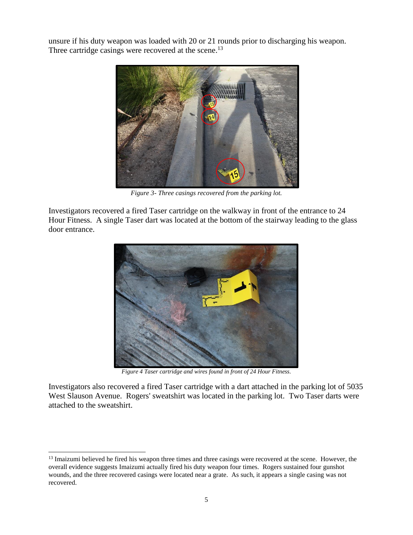unsure if his duty weapon was loaded with 20 or 21 rounds prior to discharging his weapon. Three cartridge casings were recovered at the scene.<sup>13</sup>



*Figure 3- Three casings recovered from the parking lot.*

Investigators recovered a fired Taser cartridge on the walkway in front of the entrance to 24 Hour Fitness. A single Taser dart was located at the bottom of the stairway leading to the glass door entrance.



*Figure 4 Taser cartridge and wires found in front of 24 Hour Fitness.*

Investigators also recovered a fired Taser cartridge with a dart attached in the parking lot of 5035 West Slauson Avenue. Rogers' sweatshirt was located in the parking lot. Two Taser darts were attached to the sweatshirt.

 $\overline{a}$ 

 $<sup>13</sup>$  Imaizumi believed he fired his weapon three times and three casings were recovered at the scene. However, the</sup> overall evidence suggests Imaizumi actually fired his duty weapon four times. Rogers sustained four gunshot wounds, and the three recovered casings were located near a grate. As such, it appears a single casing was not recovered.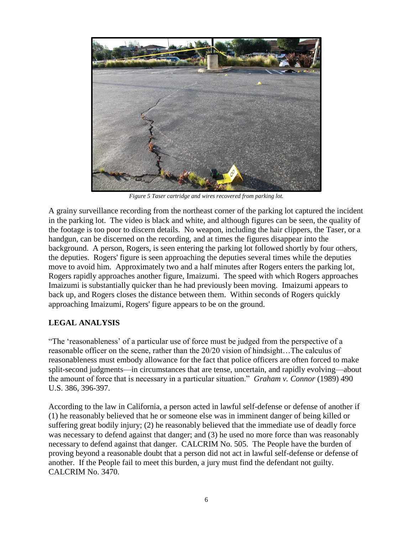

*Figure 5 Taser cartridge and wires recovered from parking lot.*

A grainy surveillance recording from the northeast corner of the parking lot captured the incident in the parking lot. The video is black and white, and although figures can be seen, the quality of the footage is too poor to discern details. No weapon, including the hair clippers, the Taser, or a handgun, can be discerned on the recording, and at times the figures disappear into the background. A person, Rogers, is seen entering the parking lot followed shortly by four others, the deputies. Rogers' figure is seen approaching the deputies several times while the deputies move to avoid him. Approximately two and a half minutes after Rogers enters the parking lot, Rogers rapidly approaches another figure, Imaizumi. The speed with which Rogers approaches Imaizumi is substantially quicker than he had previously been moving. Imaizumi appears to back up, and Rogers closes the distance between them. Within seconds of Rogers quickly approaching Imaizumi, Rogers' figure appears to be on the ground.

#### **LEGAL ANALYSIS**

"The 'reasonableness' of a particular use of force must be judged from the perspective of a reasonable officer on the scene, rather than the 20/20 vision of hindsight…The calculus of reasonableness must embody allowance for the fact that police officers are often forced to make split-second judgments—in circumstances that are tense, uncertain, and rapidly evolving—about the amount of force that is necessary in a particular situation." *Graham v. Connor* (1989) 490 U.S. 386, 396-397.

According to the law in California, a person acted in lawful self-defense or defense of another if (1) he reasonably believed that he or someone else was in imminent danger of being killed or suffering great bodily injury; (2) he reasonably believed that the immediate use of deadly force was necessary to defend against that danger; and (3) he used no more force than was reasonably necessary to defend against that danger. CALCRIM No. 505. The People have the burden of proving beyond a reasonable doubt that a person did not act in lawful self-defense or defense of another. If the People fail to meet this burden, a jury must find the defendant not guilty. CALCRIM No. 3470.